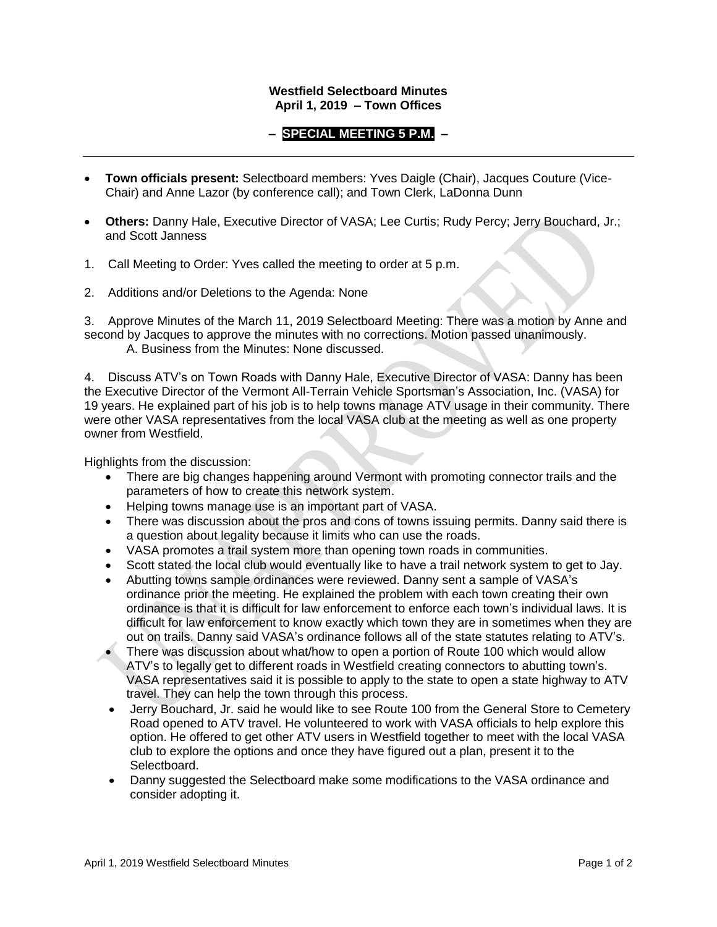## **Westfield Selectboard Minutes April 1, 2019 – Town Offices**

## **– SPECIAL MEETING 5 P.M. –**

- **Town officials present:** Selectboard members: Yves Daigle (Chair), Jacques Couture (Vice-Chair) and Anne Lazor (by conference call); and Town Clerk, LaDonna Dunn
- **Others:** Danny Hale, Executive Director of VASA; Lee Curtis; Rudy Percy; Jerry Bouchard, Jr.; and Scott Janness
- 1. Call Meeting to Order: Yves called the meeting to order at 5 p.m.
- 2. Additions and/or Deletions to the Agenda: None

3. Approve Minutes of the March 11, 2019 Selectboard Meeting: There was a motion by Anne and second by Jacques to approve the minutes with no corrections. Motion passed unanimously. A. Business from the Minutes: None discussed.

4. Discuss ATV's on Town Roads with Danny Hale, Executive Director of VASA: Danny has been the Executive Director of the Vermont All-Terrain Vehicle Sportsman's Association, Inc. (VASA) for 19 years. He explained part of his job is to help towns manage ATV usage in their community. There were other VASA representatives from the local VASA club at the meeting as well as one property owner from Westfield.

Highlights from the discussion:

- There are big changes happening around Vermont with promoting connector trails and the parameters of how to create this network system.
- Helping towns manage use is an important part of VASA.
- There was discussion about the pros and cons of towns issuing permits. Danny said there is a question about legality because it limits who can use the roads.
- VASA promotes a trail system more than opening town roads in communities.
- Scott stated the local club would eventually like to have a trail network system to get to Jay.
- Abutting towns sample ordinances were reviewed. Danny sent a sample of VASA's ordinance prior the meeting. He explained the problem with each town creating their own ordinance is that it is difficult for law enforcement to enforce each town's individual laws. It is difficult for law enforcement to know exactly which town they are in sometimes when they are out on trails. Danny said VASA's ordinance follows all of the state statutes relating to ATV's.
- There was discussion about what/how to open a portion of Route 100 which would allow ATV's to legally get to different roads in Westfield creating connectors to abutting town's. VASA representatives said it is possible to apply to the state to open a state highway to ATV travel. They can help the town through this process.
- Jerry Bouchard, Jr. said he would like to see Route 100 from the General Store to Cemetery Road opened to ATV travel. He volunteered to work with VASA officials to help explore this option. He offered to get other ATV users in Westfield together to meet with the local VASA club to explore the options and once they have figured out a plan, present it to the Selectboard.
- Danny suggested the Selectboard make some modifications to the VASA ordinance and consider adopting it.